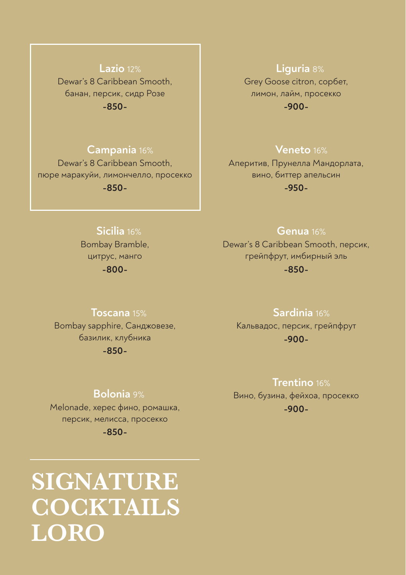# **Lazio** 12% Dewar's 8 Caribbean Smooth, банан, персик, сидр Розе **-850-**

## **Campania** 16%

Dewar's 8 Caribbean Smooth, пюре маракуйи, лимончелло, просекко **-850-**

## **Liguria** 8%

Grey Goose citron, сорбет, лимон, лайм, просекко **-900-**

# **Veneto** 16%

Аперитив, Прунелла Мандорлата, вино, биттер апельсин **-950-**

## **Sicilia** 16%

Bombay Bramble, цитрус, манго **-800-**

#### **Genua** 16%

Dewar's 8 Caribbean Smooth, персик, грейпфрут, имбирный эль **-850-**

#### **Toscana** 15%

Bombay sapphire, Санджовезе, базилик, клубника **-850-**

#### **Sardinia** 16%

Кальвадос, персик, грейпфрут **-900-**

#### **Bolonia** 9%

Melonade, херес фино, ромашка, персик, мелисса, просекко **-850-**

# **SIGNATURE COCKTAILS LORO**

# **Trentino** 16%

Вино, бузина, фейхоа, просекко **-900-**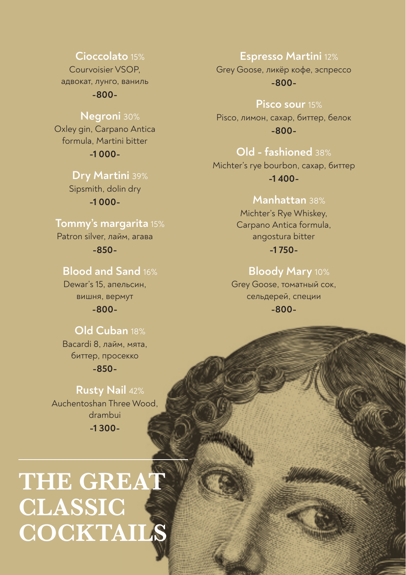#### Cioccolato 15%

Courvoisier VSOP адвокат, лунго, ваниль

 $-800-$ 

## Negroni 30%

Oxley gin, Carpano Antica formula, Martini bitter  $-1000-$ 

#### Drv Martini 39%

Sipsmith, dolin dry  $-1000-$ 

# Tommy's margarita 15%

Patron silver, лайм, агава  $-850-$ 

# **Blood and Sand 16%**

Dewar's 15, апельсин, вишня, вермут  $-800-$ 

# Old Cuban 18%

Bacardi 8, лайм, мята. биттер, просекко

 $-850-$ 

# **Rusty Nail 42%** Auchentoshan Three Wood. drambui  $-1300-$

# THE GREAT **CLASSIC** COCKTAILS

#### **Espresso Martini 12%**

Grey Goose, ликёр кофе, эспрессо  $-800-$ 

#### Pisco sour 15%

Pisco, лимон, сахар, биттер, белок  $-800-$ 

# Old - fashioned 38%

Michter's rye bourbon, caxap, биттер  $-1,400-$ 

# Manhattan 38%

Michter's Rye Whiskey. Carpano Antica formula, angostura bitter  $-1750-$ 

# Bloody Mary 10%

Grey Goose, томатный сок, сельдерей, специи  $-800-$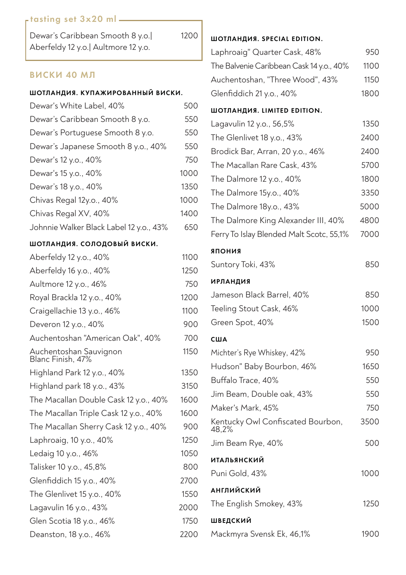## rtasting set 3x20 ml = 2000

| Dewar's Caribbean Smooth 8 y.o.      |  |
|--------------------------------------|--|
| Aberfeldy 12 y.o.   Aultmore 12 y.o. |  |

# ВИСКИ 40 МЛ

| ШОТЛАНДИЯ. КУПАЖИРОВАННЫЙ ВИСКИ.            |      |  |
|---------------------------------------------|------|--|
| Dewar's White Label, 40%                    | 500  |  |
| Dewar's Caribbean Smooth 8 y.o.             | 550  |  |
| Dewar's Portuguese Smooth 8 y.o.            | 550  |  |
| Dewar's Japanese Smooth 8 y.o., 40%         | 550  |  |
| Dewar's 12 y.o., 40%                        | 750  |  |
| Dewar's 15 y.o., 40%                        | 1000 |  |
| Dewar's 18 y.o., 40%                        | 1350 |  |
| Chivas Regal 12y.o., 40%                    | 1000 |  |
| Chivas Regal XV, 40%                        | 1400 |  |
| Johnnie Walker Black Label 12 y.o., 43%     | 650  |  |
| ШОТЛАНДИЯ. СОЛОДОВЫЙ ВИСКИ.                 |      |  |
| Aberfeldy 12 y.o., 40%                      | 1100 |  |
| Aberfeldy 16 y.o., 40%                      | 1250 |  |
| Aultmore 12 y.o., 46%                       | 750  |  |
| Royal Brackla 12 y.o., 40%                  | 1200 |  |
| Craigellachie 13 y.o., 46%                  | 1100 |  |
| Deveron 12 y.o., 40%                        | 900  |  |
| Auchentoshan "American Oak", 40%            | 700  |  |
| Auchentoshan Sauvignon<br>Blanc Finish, 47% | 1150 |  |
| Highland Park 12 y.o., 40%                  | 1350 |  |
| Highland park 18 y.o., 43%                  | 3150 |  |
| The Macallan Double Cask 12 y.o., 40%       | 1600 |  |
| The Macallan Triple Cask 12 y.o., 40%       | 1600 |  |
| The Macallan Sherry Cask 12 y.o., 40%       | 900  |  |
| Laphroaig, 10 y.o., 40%                     | 1250 |  |
| Ledaig 10 y.o., 46%                         | 1050 |  |
| Talisker 10 y.o., 45,8%                     | 800  |  |
| Glenfiddich 15 y.o., 40%                    | 2700 |  |
| The Glenlivet 15 y.o., 40%                  | 1550 |  |
| Lagavulin 16 y.o., 43%                      | 2000 |  |
| Glen Scotia 18 y.o., 46%                    | 1750 |  |
| Deanston, 18 y.o., 46%                      | 2200 |  |

### ШОТЛАНДИЯ. SPECIAL EDITION.

1200

| Laphroaig" Quarter Cask, 48%             | 950  |
|------------------------------------------|------|
| The Balvenie Caribbean Cask 14 y.o., 40% | 1100 |
| Auchentoshan, "Three Wood", 43%          | 1150 |
| Glenfiddich 21 y.o., 40%                 | 1800 |

#### ШОТЛАНДИЯ. LIMITED EDITION.

| Lagavulin 12 y.o., 56,5%                   | 1350 |
|--------------------------------------------|------|
| The Glenlivet 18 y.o., 43%                 | 2400 |
| Brodick Bar, Arran, 20 y.o., 46%           | 2400 |
| The Macallan Rare Cask, 43%                | 5700 |
| The Dalmore 12 y.o., 40%                   | 1800 |
| The Dalmore 15y.o., 40%                    | 3350 |
| The Dalmore 18y.o., 43%                    | 5000 |
| The Dalmore King Alexander III, 40%        | 4800 |
| Ferry To Islay Blended Malt Scotc, 55,1%   | 7000 |
| ЯПОНИЯ                                     |      |
| Suntory Toki, 43%                          | 850  |
| <b>ИРЛАНДИЯ</b>                            |      |
| Jameson Black Barrel, 40%                  | 850  |
| Teeling Stout Cask, 46%                    | 1000 |
| Green Spot, 40%                            | 1500 |
| США                                        |      |
| Michter's Rye Whiskey, 42%                 | 950  |
| Hudson" Baby Bourbon, 46%                  | 1650 |
| Buffalo Trace, 40%                         | 550  |
| Jim Beam, Double oak, 43%                  | 550  |
| Maker's Mark, 45%                          | 750  |
| Kentucky Owl Confiscated Bourbon,<br>48,2% | 3500 |
| Jim Beam Rye, 40%                          | 500  |
| <b>ИТАЛЬЯНСКИЙ</b>                         |      |
| Puni Gold, 43%                             | 1000 |
| АНГЛИЙСКИЙ                                 |      |
| The English Smokey, 43%                    | 1250 |
| ШВЕДСКИЙ                                   |      |
| Mackmyra Svensk Ek, 46,1%                  | 1900 |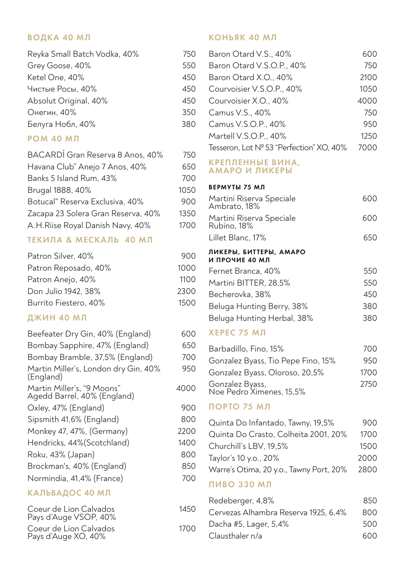## ВОДКА 40 МЛ

| Reyka Small Batch Vodka, 40% | 750 |
|------------------------------|-----|
| Grey Goose, 40%              | 550 |
| Ketel One, 40%               | 450 |
| Чистые Росы, 40%             | 450 |
| Absolut Original, 40%        | 450 |
| Онегин, 40%                  | 350 |
| Белуга Нобл, 40%             | 380 |

#### **РОМ 40 МЛ**

| BACARDÍ Gran Reserva 8 Anos, 40%   | 750  |
|------------------------------------|------|
| Havana Club" Anejo 7 Anos, 40%     | 650  |
| Banks 5 Island Rum, 43%            | 700  |
| Brugal 1888, 40%                   | 1050 |
| Botucal" Reserva Exclusiva, 40%    | 900  |
| Zacapa 23 Solera Gran Reserva, 40% | 1350 |
| A.H.Riise Royal Danish Navy, 40%   | 1700 |

#### ТЕКИЛА & МЕСКАЛЬ 40 МЛ

| Patron Silver, 40%    | 900  |
|-----------------------|------|
| Patron Reposado, 40%  | 1000 |
| Patron Anejo, 40%     | 1100 |
| Don Julio 1942, 38%   | 2300 |
| Burrito Fiestero, 40% | 1500 |

## ДЖИН 40 МЛ

| Beefeater Dry Gin, 40% (England)                          | 600  |
|-----------------------------------------------------------|------|
| Bombay Sapphire, 47% (England)                            | 650  |
| Bombay Bramble, 37,5% (England)                           | 700  |
| Martin Miller's, London dry Gin, 40%<br>(England)         | 950  |
| Martin Miller's, "9 Moons"<br>Agedd Barrel, 40% (England) | 4000 |
| Oxley, 47% (England)                                      | 900  |
| Sipsmith 41,6% (England)                                  | 800  |
| Monkey 47, 47%, (Germany)                                 | 2200 |
| Hendricks, 44% (Scotchland)                               | 1400 |
| Roku, 43% (Japan)                                         | 800  |
| Brockman's, 40% (England)                                 | 850  |
| Normindia, 41,4% (France)                                 | 700  |
| КАЛЬВАДОС 40 МЛ                                           |      |
| Coeur de Lion Calvados                                    | 1450 |

| Pays d'Auge VSOP, 40%                         |  |
|-----------------------------------------------|--|
| Coeur de Lion Calvados<br>Pays d'Auge XO, 40% |  |

#### КОНЬЯК 40 МЛ

| Baron Otard V.S., 40%                    | 600   |
|------------------------------------------|-------|
| Baron Otard V.S.O.P., 40%                | 750   |
| Baron Otard X.O., 40%                    | 2100  |
| Courvoisier V.S.O.P., 40%                | 10.50 |
| Courvoisier X.O., 40%                    | 4000  |
| Camus V.S., 40%                          | 750   |
| Camus V.S.O.P., 40%                      | 950   |
| Martell V.S.O.P., 40%                    | 1250  |
| Tesseron, Lot Nº 53 "Perfection" XO, 40% | 7000  |
| КРЕПЛЕННЫЕ ВИНА,<br>АМАРО И ЛИКЕРЫ       |       |

#### ВЕРМУТЫ 75 МЛ

| Martini Riserva Speciale<br>Ambrato, 18% | 600 |
|------------------------------------------|-----|
| Martini Riserva Speciale<br>Rubino, 18%  | 600 |
| Lillet Blanc. 17%                        | 650 |
| ЛИКЕРЫ, БИТТЕРЫ, АМАРО<br>И ПРОЧИЕ 40 МЛ |     |
| Fernet Branca, 40%                       | 550 |
| Martini BITTER, 28.5%                    | 550 |
| Becherovka. 38%                          | 450 |
| Beluga Hunting Berry, 38%                | 380 |
| Beluga Hunting Herbal, 38%               | 380 |

#### **ХЕРЕС 75 МЛ**

| Barbadillo, Fino, 15%                       | 700  |
|---------------------------------------------|------|
| Gonzalez Byass, Tio Pepe Fino, 15%          | 950  |
| Gonzalez Byass, Oloroso, 20,5%              | 1700 |
| Gonzalez Byass,<br>Noe Pedro Ximenes, 15,5% | 2750 |

# 0 ПОРТО 75 МЛ

| Quinta Do Infantado, Tawny, 19,5%       | 900. |
|-----------------------------------------|------|
| Quinta Do Crasto, Colheita 2001, 20%    | 1700 |
| Churchill's LBV, 19.5%                  | 1500 |
| Taylor's 10 y.o., 20%                   | 2000 |
| Warre's Otima, 20 y.o., Tawny Port, 20% | 2800 |
|                                         |      |

#### **ПИВО 330 МЛ**

1700

| 850  |
|------|
| 800  |
| 500  |
| 600. |
|      |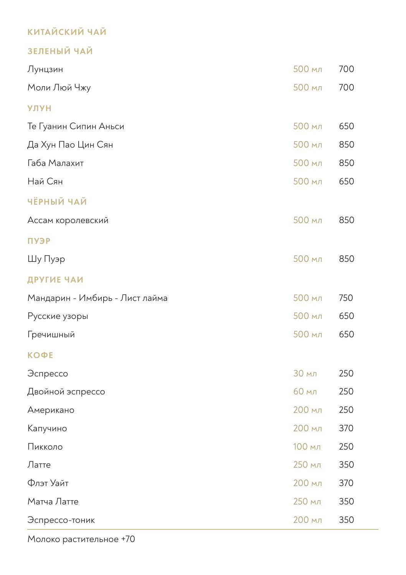# КИТАЙСКИЙ ЧАЙ

# ЗЕЛЕНЫЙ ЧАЙ

| Лунцзин                        | 500 мл | 700 |
|--------------------------------|--------|-----|
| Моли Люй Чжу                   | 500 мл | 700 |
| <b>УЛУН</b>                    |        |     |
| Те Гуанин Сипин Аньси          | 500 мл | 650 |
| Да Хун Пао Цин Сян             | 500 мл | 850 |
| Габа Малахит                   | 500 мл | 850 |
| Най Сян                        | 500 мл | 650 |
| <b>ЧЁРНЫЙ ЧАЙ</b>              |        |     |
| Ассам королевский              | 500 мл | 850 |
| <b>ПУЭР</b>                    |        |     |
| Шу Пуэр                        | 500 мл | 850 |
| ДРУГИЕ ЧАИ                     |        |     |
| Мандарин - Имбирь - Лист лайма | 500 мл | 750 |
| Русские узоры                  | 500 мл | 650 |
| Гречишный                      | 500 мл | 650 |
| <b>КОФЕ</b>                    |        |     |
| Эспрессо                       | 30 мл  | 250 |
| Двойной эспрессо               | 60 мл  | 250 |
| Американо                      | 200 мл | 250 |
| Капучино                       | 200 мл | 370 |
| Пикколо                        | 100 мл | 250 |
| Латте                          | 250 мл | 350 |
| Флэт Уайт                      | 200 мл | 370 |
| Матча Латте                    | 250 мл | 350 |
| Эспрессо-тоник                 | 200 мл | 350 |

Молоко растительное +70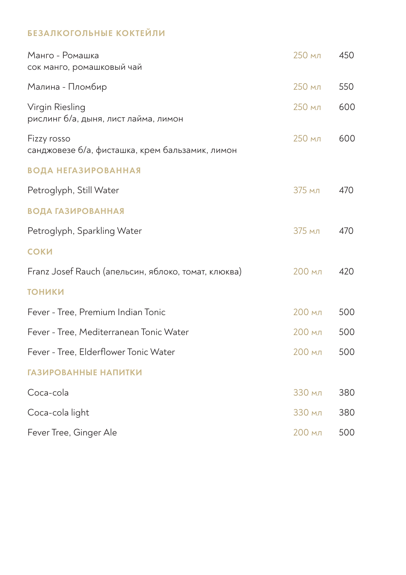# БЕЗАЛКОГОЛЬНЫЕ КОКТЕЙЛИ

| Манго - Ромашка<br>сок манго, ромашковый чай                   | 250 мл | 450 |
|----------------------------------------------------------------|--------|-----|
| Малина - Пломбир                                               | 250 мл | 550 |
| Virgin Riesling<br>рислинг б/а, дыня, лист лайма, лимон        | 250 мл | 600 |
| Fizzy rosso<br>санджовезе б/а, фисташка, крем бальзамик, лимон | 250 мл | 600 |
| <b>ВОДА НЕГАЗИРОВАННАЯ</b>                                     |        |     |
| Petroglyph, Still Water                                        | 375 мл | 470 |
| <b>ВОДА ГАЗИРОВАННАЯ</b>                                       |        |     |
| Petroglyph, Sparkling Water                                    | 375 мл | 470 |
| СОКИ                                                           |        |     |
| Franz Josef Rauch (апельсин, яблоко, томат, клюква)            | 200 мл | 420 |
| <b>ТОНИКИ</b>                                                  |        |     |
| Fever - Tree, Premium Indian Tonic                             | 200 мл | 500 |
| Fever - Tree, Mediterranean Tonic Water                        | 200 мл | 500 |
| Fever - Tree, Elderflower Tonic Water                          | 200 мл | 500 |
| ГАЗИРОВАННЫЕ НАПИТКИ                                           |        |     |
| Coca-cola                                                      | 330 мл | 380 |
| Coca-cola light                                                | 330 мл | 380 |
| Fever Tree, Ginger Ale                                         | 200 мл | 500 |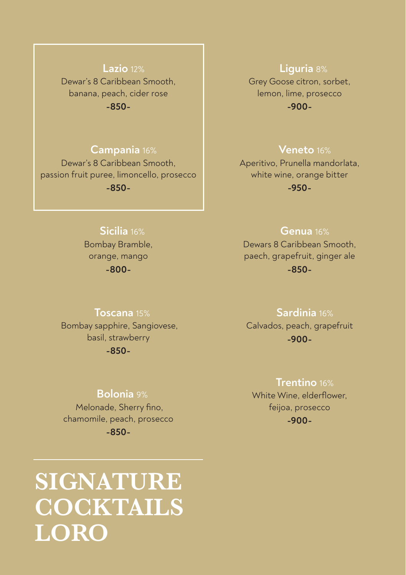# **Lazio** 12% Dewar's 8 Caribbean Smooth, banana, peach, cider rose **-850-**

# **Campania** 16%

Dewar's 8 Caribbean Smooth, passion fruit puree, limoncello, prosecco **-850-**

#### **Liguria** 8%

Grey Goose citron, sorbet, lemon, lime, prosecco **-900-**

#### **Veneto** 16%

Aperitivo, Prunella mandorlata, white wine, orange bitter **-950-**

# **Sicilia** 16%

Bombay Bramble, orange, mango **-800-**

#### **Genua** 16%

Dewars 8 Caribbean Smooth, paech, grapefruit, ginger ale **-850-**

#### **Toscana** 15%

 Bombay sapphire, Sangiovese, basil, strawberry **-850-**

#### **Bolonia** 9%

 Melonade, Sherry fino, chamomile, peach, prosecco **-850-**

# **SIGNATURE COCKTAILS LORO**

# **Sardinia** 16%

Calvados, peach, grapefruit **-900-**

### **Trentino** 16%

White Wine, elderflower, feijoa, prosecco **-900-**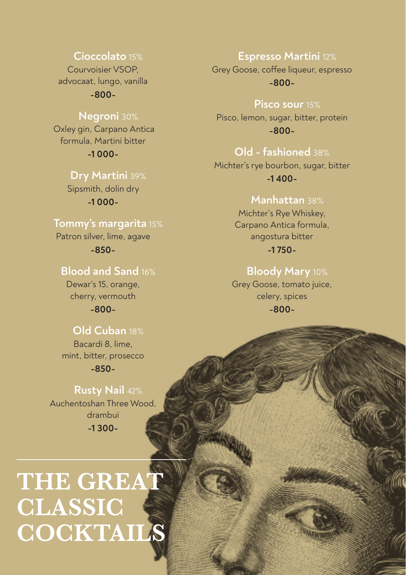#### **Cioccolato** 15%

Courvoisier VSOP, advocaat, lungo, vanilla

**-800-**

## **Negroni** 30%

 Oxley gin, Carpano Antica formula, Martini bitter **-1 000-**

> **Dry Martini** 39% Sipsmith, dolin dry **-1 000-**

# **Tommy's margarita** 15%

Patron silver, lime, agave **-850-**

# **Blood and Sand** 16%

Dewar's 15, orange, cherry, vermouth

**-800-**

# **Old Cuban** 18%

Bacardi 8, lime, mint, bitter, prosecco

**-850-**

 **Rusty Nail** 42% Auchentoshan Three Wood, drambui **-1 300-**

# **THE GREAT CLASSIC COCKTAILS**

#### **Espresso Martini** 12%

Grey Goose, coffee liqueur, espresso **-800-**

 **Pisco sour** 15%

Pisco, lemon, sugar, bitter, protein **-800-**

# **Old - fashioned** 38%

Michter's rye bourbon, sugar, bitter **-1 400-**

# **Manhattan** 38%

Michter's Rye Whiskey, Carpano Antica formula, angostura bitter **-1 750-**

# **Bloody Mary** 10%

Grey Goose, tomato juice, celery, spices **-800-**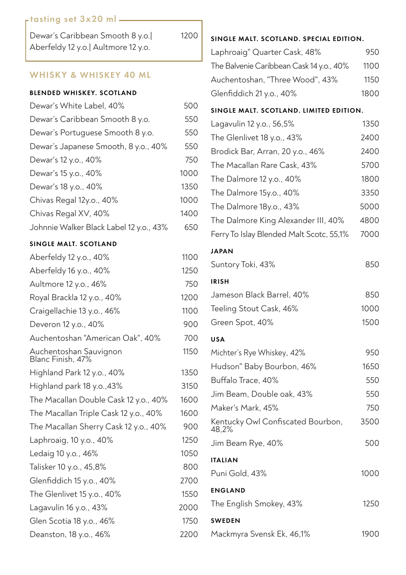#### tasting set 3x20 ml

| Dewar's Caribbean Smooth 8 y.o.      |  |
|--------------------------------------|--|
| Aberfeldy 12 y.o.   Aultmore 12 y.o. |  |

1200

#### WHISKY & WHISKEY 40 ML

#### BLENDED WHISKEY. SCOTLAND

| Dewar's White Label, 40%                | 500  |
|-----------------------------------------|------|
| Dewar's Caribbean Smooth 8 y.o.         | 550  |
| Dewar's Portuguese Smooth 8 y.o.        | 550  |
| Dewar's Japanese Smooth, 8 y.o., 40%    | 550  |
| Dewar's 12 y.o., 40%                    | 750  |
| Dewar's 15 y.o., 40%                    | 1000 |
| Dewar's 18 y.o., 40%                    | 1350 |
| Chivas Regal 12y.o., 40%                | 1000 |
| Chivas Regal XV, 40%                    | 1400 |
| Johnnie Walker Black Label 12 y.o., 43% | 650  |

#### SINGLE MALT. SCOTLAND

| Aberfeldy 12 y.o., 40%                      | 1100 |
|---------------------------------------------|------|
| Aberfeldy 16 y.o., 40%                      | 1250 |
| Aultmore 12 y.o., 46%                       | 750  |
| Royal Brackla 12 y.o., 40%                  | 1200 |
| Craigellachie 13 y.o., 46%                  | 1100 |
| Deveron 12 y.o., 40%                        | 900  |
| Auchentoshan "American Oak", 40%            | 700  |
| Auchentoshan Sauvignon<br>Blanc Finish, 47% | 1150 |
| Highland Park 12 y.o., 40%                  | 1350 |
| Highland park 18 y.o., 43%                  | 3150 |
| The Macallan Double Cask 12 y.o., 40%       | 1600 |
| The Macallan Triple Cask 12 y.o., 40%       | 1600 |
| The Macallan Sherry Cask 12 y.o., 40%       | 900  |
| Laphroaig, 10 y.o., 40%                     | 1250 |
| Ledaig 10 y.o., 46%                         | 1050 |
| Talisker 10 y.o., 45,8%                     | 800  |
| Glenfiddich 15 y.o., 40%                    | 2700 |
| The Glenlivet 15 y.o., 40%                  | 1550 |
| Lagavulin 16 y.o., 43%                      | 2000 |
| Glen Scotia 18 y.o., 46%                    | 1750 |
| Deanston, 18 y.o., 46%                      | 2200 |

#### SINGLE MALT. SCOTLAND. SPECIAL EDITION.

| Laphroaig" Quarter Cask, 48%             | 950  |
|------------------------------------------|------|
| The Balvenie Caribbean Cask 14 y.o., 40% | 1100 |
| Auchentoshan, "Three Wood", 43%          | 1150 |
| Glenfiddich 21 y.o., 40%                 | 1800 |

#### SINGLE MALT. SCOTLAND. LIMITED EDITION.

| Lagavulin 12 y.o., 56,5%                   | 1350 |
|--------------------------------------------|------|
| The Glenlivet 18 y.o., 43%                 | 2400 |
| Brodick Bar, Arran, 20 y.o., 46%           | 2400 |
| The Macallan Rare Cask, 43%                | 5700 |
| The Dalmore 12 y.o., 40%                   | 1800 |
| The Dalmore 15y.o., 40%                    | 3350 |
| The Dalmore 18y.o., 43%                    | 5000 |
| The Dalmore King Alexander III, 40%        | 4800 |
| Ferry To Islay Blended Malt Scotc, 55,1%   | 7000 |
| <b>JAPAN</b>                               |      |
| Suntory Toki, 43%                          | 850  |
| <b>IRISH</b>                               |      |
| Jameson Black Barrel, 40%                  | 850  |
| Teeling Stout Cask, 46%                    | 1000 |
| Green Spot, 40%                            | 1500 |
|                                            |      |
| <b>USA</b>                                 |      |
| Michter's Rye Whiskey, 42%                 | 950  |
| Hudson" Baby Bourbon, 46%                  | 1650 |
| Buffalo Trace, 40%                         | 550  |
| Jim Beam, Double oak, 43%                  | 550  |
| Maker's Mark, 45%                          | 750  |
| Kentucky Owl Confiscated Bourbon,<br>48.2% | 3500 |
| Jim Beam Rye, 40%                          | 500  |
| <b>ITALIAN</b>                             |      |
| Puni Gold, 43%                             | 1000 |
| <b>ENGLAND</b>                             |      |
| The English Smokey, 43%                    | 1250 |
| <b>SWEDEN</b>                              |      |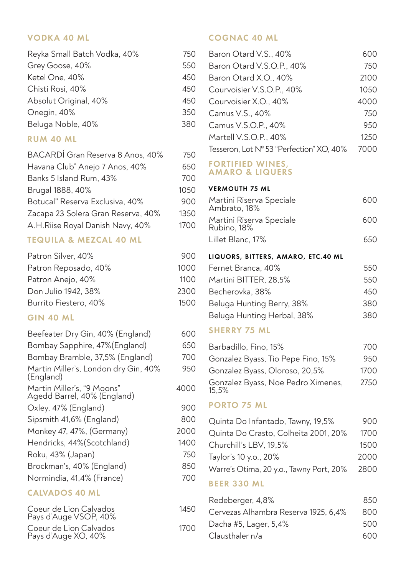#### VODKA 40 ML

| 750 |
|-----|
| 550 |
| 450 |
| 450 |
| 450 |
| 350 |
| 380 |
|     |

### RUM 40 ML

| BACARDÍ Gran Reserva 8 Anos, 40%   | 750  |
|------------------------------------|------|
| Havana Club" Anejo 7 Anos, 40%     | 650  |
| Banks 5 Island Rum, 43%            | 700  |
| Brugal 1888, 40%                   | 1050 |
| Botucal" Reserva Exclusiva, 40%    | 900  |
| Zacapa 23 Solera Gran Reserva, 40% | 1350 |
| A.H.Riise Royal Danish Navy, 40%   | 1700 |
|                                    |      |

### TEQUILA & MEZCAL 40 ML

| Patron Silver, 40%    | 900  |
|-----------------------|------|
| Patron Reposado, 40%  | 1000 |
| Patron Anejo, 40%     | 1100 |
| Don Julio 1942, 38%   | 2300 |
| Burrito Fiestero, 40% | 1500 |

## GIN 40 ML

| Beefeater Dry Gin, 40% (England)                          | 600  |
|-----------------------------------------------------------|------|
| Bombay Sapphire, 47% (England)                            | 650  |
| Bombay Bramble, 37,5% (England)                           | 700  |
| Martin Miller's, London dry Gin, 40%<br>(England)         | 950  |
| Martin Miller's, "9 Moons"<br>Agedd Barrel, 40% (England) | 4000 |
| Oxley, 47% (England)                                      | 900  |
| Sipsmith 41,6% (England)                                  | 800  |
| Monkey 47, 47%, (Germany)                                 | 2000 |
| Hendricks, 44% (Scotchland)                               | 1400 |
| Roku, 43% (Japan)                                         | 750  |
| Brockman's, 40% (England)                                 | 850  |
| Normindia, 41,4% (France)                                 | 700  |
| <b>CALVADOS 40 ML</b>                                     |      |
| Coeur de Lion Calvados                                    | 1450 |

| Coeur de Lion Calvados<br>Pays d'Auge VSOP, 40% | 1450 |
|-------------------------------------------------|------|
| Coeur de Lion Calvados<br>Pays d'Auge XO, 40%   | 1700 |

### COGNAC 40 ML

| Baron Otard V.S., 40%                          | 600  |
|------------------------------------------------|------|
| Baron Otard V.S.O.P., 40%                      | 750  |
| Baron Otard X.O., 40%                          | 2100 |
| Courvoisier V.S.O.P., 40%                      | 1050 |
| Courvoisier X.O., 40%                          | 4000 |
| Camus V.S., 40%                                | 750  |
| Camus V.S.O.P., 40%                            | 950  |
| Martell V.S.O.P., 40%                          | 1250 |
| Tesseron, Lot Nº 53 "Perfection" XO, 40%       | 7000 |
| FORTIFIED WINES.<br><b>AMARO &amp; LIQUERS</b> |      |
| <b>VERMOUTH 75 ML</b>                          |      |
| Martini Riserva Speciale<br>Ambrato, 18%       | 600  |
| Martini Riserva Speciale<br>Rubino. 18%        | 600  |

- Lillet Blanc, 17% 650
- LIQUORS, BITTERS, AMARO, ETC.40 ML

| Fernet Branca, 40%         | 550 |
|----------------------------|-----|
| Martini BITTER, 28,5%      | 550 |
| Becherovka, 38%            | 450 |
| Beluga Hunting Berry, 38%  | 380 |
| Beluga Hunting Herbal, 38% | 380 |

#### SHERRY 75 ML

| Barbadillo, Fino, 15%                       | 700  |
|---------------------------------------------|------|
| Gonzalez Byass, Tio Pepe Fino, 15%          | 950  |
| Gonzalez Byass, Oloroso, 20,5%              | 1700 |
| Gonzalez Byass, Noe Pedro Ximenes,<br>15.5% | 2750 |

#### PORTO 75 ML

| Quinta Do Infantado, Tawny, 19,5%       | 900  |
|-----------------------------------------|------|
| Quinta Do Crasto, Colheita 2001, 20%    | 1700 |
| Churchill's LBV, 19.5%                  | 1500 |
| Taylor's 10 y.o., 20%                   | 2000 |
| Warre's Otima, 20 y.o., Tawny Port, 20% | 2800 |
| 8 F F B 990                             |      |

#### BEER 330 ML

| 850 |
|-----|
| 800 |
| 500 |
| 600 |
|     |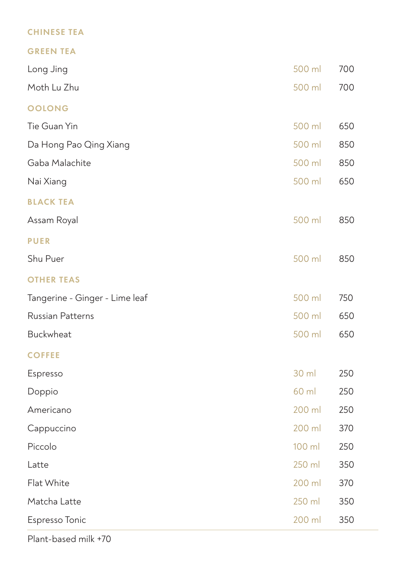# CHINESE TEA

|--|--|--|--|--|--|--|--|--|--|

| Long Jing                      | 500 ml | 700 |
|--------------------------------|--------|-----|
| Moth Lu Zhu                    | 500 ml | 700 |
| <b>OOLONG</b>                  |        |     |
| Tie Guan Yin                   | 500 ml | 650 |
| Da Hong Pao Qing Xiang         | 500 ml | 850 |
| Gaba Malachite                 | 500 ml | 850 |
| Nai Xiang                      | 500 ml | 650 |
| <b>BLACK TEA</b>               |        |     |
| Assam Royal                    | 500 ml | 850 |
| <b>PUER</b>                    |        |     |
| Shu Puer                       | 500 ml | 850 |
| <b>OTHER TEAS</b>              |        |     |
| Tangerine - Ginger - Lime leaf | 500 ml | 750 |
| Russian Patterns               | 500 ml | 650 |
| <b>Buckwheat</b>               | 500 ml | 650 |
| <b>COFFEE</b>                  |        |     |
| Espresso                       | 30 ml  | 250 |
| Doppio                         | 60 ml  | 250 |
| Americano                      | 200 ml | 250 |
| Cappuccino                     | 200 ml | 370 |
| Piccolo                        | 100 ml | 250 |
| Latte                          | 250 ml | 350 |
| Flat White                     | 200 ml | 370 |
| Matcha Latte                   | 250 ml | 350 |
| Espresso Tonic                 | 200 ml | 350 |

Plant-based milk +70